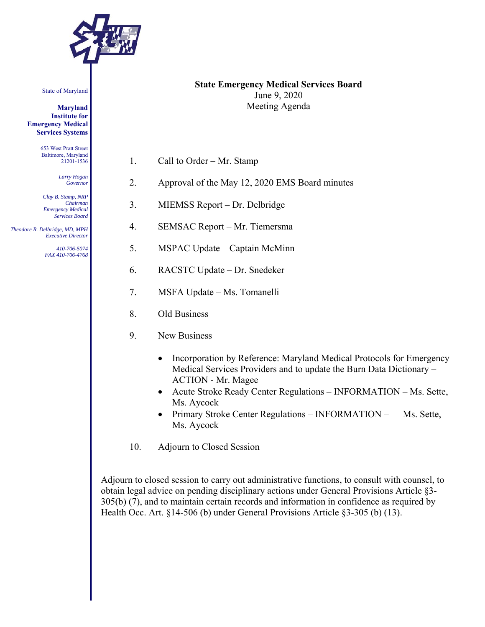

State of Maryland

**Maryland Institute for Emergency Medical Services Systems** 

> 653 West Pratt Street Baltimore, Maryland 21201-1536

> > *Larry Hogan Governor*

*Clay B. Stamp, NRP Chairman Emergency Medical Services Board* 

 *Theodore R. Delbridge, MD, MPH Executive Director* 

> *410-706-5074 FAX 410-706-4768*

- **State Emergency Medical Services Board**  June 9, 2020 Meeting Agenda
- 1. Call to Order Mr. Stamp
- 2. Approval of the May 12, 2020 EMS Board minutes
- 3. MIEMSS Report Dr. Delbridge
- 4. SEMSAC Report Mr. Tiemersma
- 5. MSPAC Update Captain McMinn
- 6. RACSTC Update Dr. Snedeker
- 7. MSFA Update Ms. Tomanelli
- 8. Old Business
- 9. New Business
	- Incorporation by Reference: Maryland Medical Protocols for Emergency Medical Services Providers and to update the Burn Data Dictionary – ACTION - Mr. Magee
	- Acute Stroke Ready Center Regulations INFORMATION Ms. Sette, Ms. Aycock
	- Primary Stroke Center Regulations INFORMATION Ms. Sette, Ms. Aycock
- 10. Adjourn to Closed Session

Adjourn to closed session to carry out administrative functions, to consult with counsel, to obtain legal advice on pending disciplinary actions under General Provisions Article §3- 305(b) (7), and to maintain certain records and information in confidence as required by Health Occ. Art. §14-506 (b) under General Provisions Article §3-305 (b) (13).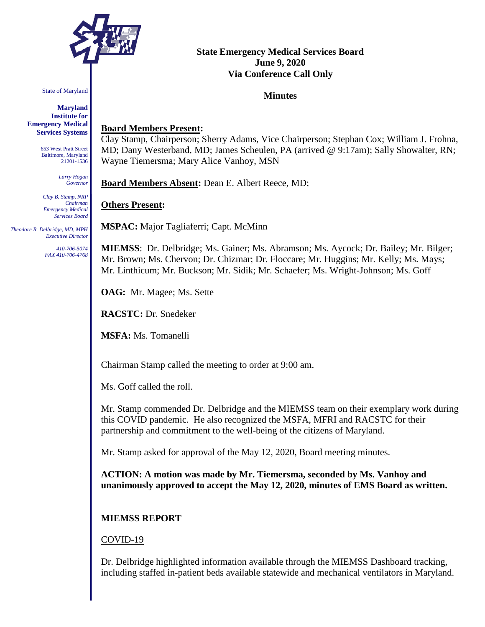

State of Maryland

**Maryland Institute for Emergency Medical Services Systems**

> 653 West Pratt Street Baltimore, Maryland 21201-1536

> > *Larry Hogan Governor*

*Clay B. Stamp, NRP Chairman Emergency Medical Services Board*

 *Theodore R. Delbridge, MD, MPH Executive Director*

> *410-706-5074 FAX 410-706-4768*

# **State Emergency Medical Services Board June 9, 2020 Via Conference Call Only**

## **Minutes**

## **Board Members Present:**

Clay Stamp, Chairperson; Sherry Adams, Vice Chairperson; Stephan Cox; William J. Frohna, MD; Dany Westerband, MD; James Scheulen, PA (arrived @ 9:17am); Sally Showalter, RN; Wayne Tiemersma; Mary Alice Vanhoy, MSN

**Board Members Absent:** Dean E. Albert Reece, MD;

## **Others Present:**

**MSPAC:** Major Tagliaferri; Capt. McMinn

**MIEMSS**: Dr. Delbridge; Ms. Gainer; Ms. Abramson; Ms. Aycock; Dr. Bailey; Mr. Bilger; Mr. Brown; Ms. Chervon; Dr. Chizmar; Dr. Floccare; Mr. Huggins; Mr. Kelly; Ms. Mays; Mr. Linthicum; Mr. Buckson; Mr. Sidik; Mr. Schaefer; Ms. Wright-Johnson; Ms. Goff

**OAG:** Mr. Magee; Ms. Sette

**RACSTC:** Dr. Snedeker

**MSFA:** Ms. Tomanelli

Chairman Stamp called the meeting to order at 9:00 am.

Ms. Goff called the roll.

Mr. Stamp commended Dr. Delbridge and the MIEMSS team on their exemplary work during this COVID pandemic. He also recognized the MSFA, MFRI and RACSTC for their partnership and commitment to the well-being of the citizens of Maryland.

Mr. Stamp asked for approval of the May 12, 2020, Board meeting minutes.

**ACTION: A motion was made by Mr. Tiemersma, seconded by Ms. Vanhoy and unanimously approved to accept the May 12, 2020, minutes of EMS Board as written.**

## **MIEMSS REPORT**

## COVID-19

Dr. Delbridge highlighted information available through the MIEMSS Dashboard tracking, including staffed in-patient beds available statewide and mechanical ventilators in Maryland.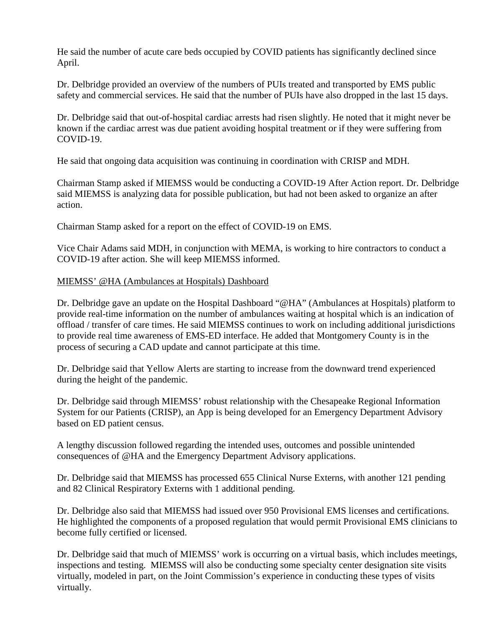He said the number of acute care beds occupied by COVID patients has significantly declined since April.

Dr. Delbridge provided an overview of the numbers of PUIs treated and transported by EMS public safety and commercial services. He said that the number of PUIs have also dropped in the last 15 days.

Dr. Delbridge said that out-of-hospital cardiac arrests had risen slightly. He noted that it might never be known if the cardiac arrest was due patient avoiding hospital treatment or if they were suffering from COVID-19.

He said that ongoing data acquisition was continuing in coordination with CRISP and MDH.

Chairman Stamp asked if MIEMSS would be conducting a COVID-19 After Action report. Dr. Delbridge said MIEMSS is analyzing data for possible publication, but had not been asked to organize an after action.

Chairman Stamp asked for a report on the effect of COVID-19 on EMS.

Vice Chair Adams said MDH, in conjunction with MEMA, is working to hire contractors to conduct a COVID-19 after action. She will keep MIEMSS informed.

## MIEMSS' @HA (Ambulances at Hospitals) Dashboard

Dr. Delbridge gave an update on the Hospital Dashboard "@HA" (Ambulances at Hospitals) platform to provide real-time information on the number of ambulances waiting at hospital which is an indication of offload / transfer of care times. He said MIEMSS continues to work on including additional jurisdictions to provide real time awareness of EMS-ED interface. He added that Montgomery County is in the process of securing a CAD update and cannot participate at this time.

Dr. Delbridge said that Yellow Alerts are starting to increase from the downward trend experienced during the height of the pandemic.

Dr. Delbridge said through MIEMSS' robust relationship with the Chesapeake Regional Information System for our Patients (CRISP), an App is being developed for an Emergency Department Advisory based on ED patient census.

A lengthy discussion followed regarding the intended uses, outcomes and possible unintended consequences of @HA and the Emergency Department Advisory applications.

Dr. Delbridge said that MIEMSS has processed 655 Clinical Nurse Externs, with another 121 pending and 82 Clinical Respiratory Externs with 1 additional pending.

Dr. Delbridge also said that MIEMSS had issued over 950 Provisional EMS licenses and certifications. He highlighted the components of a proposed regulation that would permit Provisional EMS clinicians to become fully certified or licensed.

Dr. Delbridge said that much of MIEMSS' work is occurring on a virtual basis, which includes meetings, inspections and testing. MIEMSS will also be conducting some specialty center designation site visits virtually, modeled in part, on the Joint Commission's experience in conducting these types of visits virtually.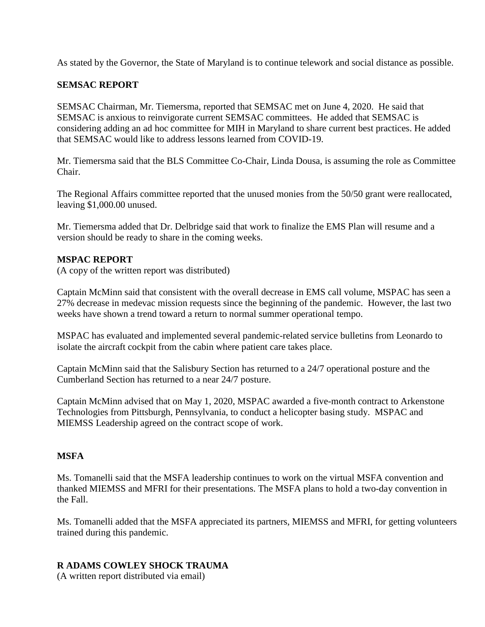As stated by the Governor, the State of Maryland is to continue telework and social distance as possible.

### **SEMSAC REPORT**

SEMSAC Chairman, Mr. Tiemersma, reported that SEMSAC met on June 4, 2020. He said that SEMSAC is anxious to reinvigorate current SEMSAC committees. He added that SEMSAC is considering adding an ad hoc committee for MIH in Maryland to share current best practices. He added that SEMSAC would like to address lessons learned from COVID-19.

Mr. Tiemersma said that the BLS Committee Co-Chair, Linda Dousa, is assuming the role as Committee Chair.

The Regional Affairs committee reported that the unused monies from the 50/50 grant were reallocated, leaving \$1,000.00 unused.

Mr. Tiemersma added that Dr. Delbridge said that work to finalize the EMS Plan will resume and a version should be ready to share in the coming weeks.

#### **MSPAC REPORT**

(A copy of the written report was distributed)

Captain McMinn said that consistent with the overall decrease in EMS call volume, MSPAC has seen a 27% decrease in medevac mission requests since the beginning of the pandemic. However, the last two weeks have shown a trend toward a return to normal summer operational tempo.

MSPAC has evaluated and implemented several pandemic-related service bulletins from Leonardo to isolate the aircraft cockpit from the cabin where patient care takes place.

Captain McMinn said that the Salisbury Section has returned to a 24/7 operational posture and the Cumberland Section has returned to a near 24/7 posture.

Captain McMinn advised that on May 1, 2020, MSPAC awarded a five-month contract to Arkenstone Technologies from Pittsburgh, Pennsylvania, to conduct a helicopter basing study. MSPAC and MIEMSS Leadership agreed on the contract scope of work.

### **MSFA**

Ms. Tomanelli said that the MSFA leadership continues to work on the virtual MSFA convention and thanked MIEMSS and MFRI for their presentations. The MSFA plans to hold a two-day convention in the Fall.

Ms. Tomanelli added that the MSFA appreciated its partners, MIEMSS and MFRI, for getting volunteers trained during this pandemic.

### **R ADAMS COWLEY SHOCK TRAUMA**

(A written report distributed via email)